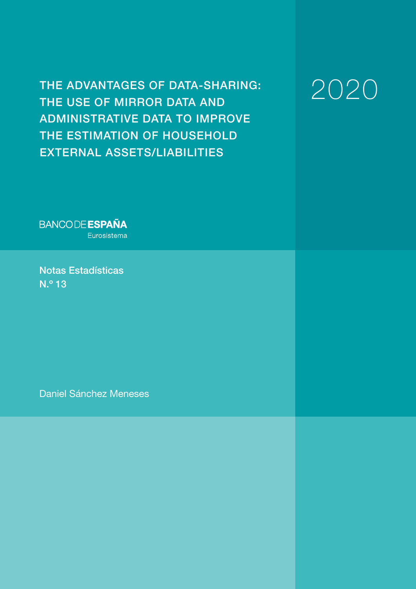THE ADVANTAGES OF DATA-SHARING: THE USE OF MIRROR DATA AND ADMINISTRATIVE DATA TO IMPROVE THE ESTIMATION OF HOUSEHOLD EXTERNAL ASSETS/LIABILITIES

2020

**BANCODE ESPAÑA** Eurosistema

Notas Estadísticas N.º 13

Daniel Sánchez Meneses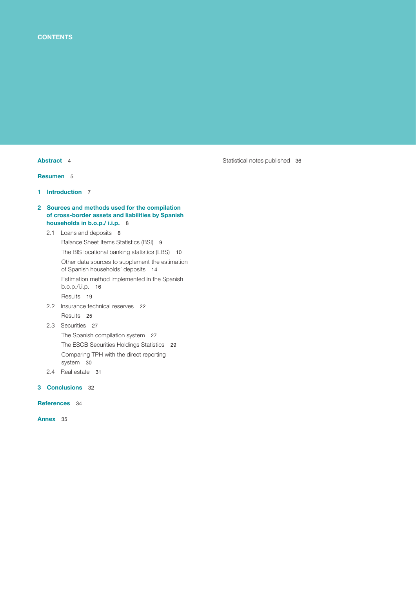[Resumen](#page-4-0) 5

1 [Introduction](#page-6-0) 7

### 2 Sources and methods used for the compilation [of cross-border assets and liabilities by Spanish](#page-7-0)  households in b.o.p./ i.i.p. 8

# 2.1 [Loans and deposits](#page-7-0) 8 [Balance Sheet Items Statistics \(BSI\)](#page-8-0) 9 [The BIS locational banking statistics \(LBS\)](#page-9-0) 10 [Other data sources to supplement the estimation](#page-13-0)  of Spanish households' deposits 14 [Estimation method implemented in the Spanish](#page-15-0) b.o.p./i.i.p. 16 [Results](#page-18-0) 19 2.2 [Insurance technical reserves](#page-21-0) 22

[Results](#page-24-0) 25 2.3 [Securities](#page-26-0) 27

[The Spanish compilation system](#page-26-0) 27 [The ESCB Securities Holdings Statistics](#page-28-0) 29 [Comparing TPH with the direct reporting](#page-29-0) system 30

2.4 [Real estate](#page-30-0) 31

# 3 [Conclusions](#page-31-0) 32

[References](#page-33-0) 34

[Annex](#page-34-0) 35

[Abstract](#page-3-0) 4 [Statistical notes published](#page-35-0) 36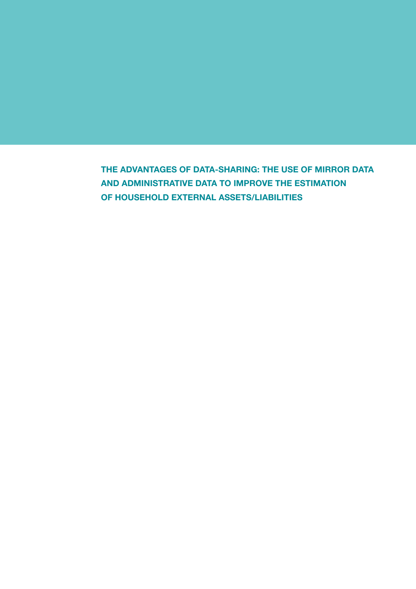THE ADVANTAGES OF DATA-SHARING: THE USE OF MIRROR DATA AND ADMINISTRATIVE DATA TO IMPROVE THE ESTIMATION OF HOUSEHOLD EXTERNAL ASSETS/LIABILITIES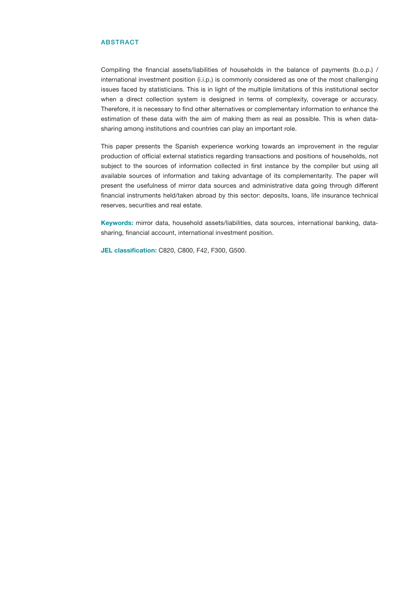#### <span id="page-3-0"></span>ABSTRACT

Compiling the financial assets/liabilities of households in the balance of payments (b.o.p.) / international investment position (i.i.p.) is commonly considered as one of the most challenging issues faced by statisticians. This is in light of the multiple limitations of this institutional sector when a direct collection system is designed in terms of complexity, coverage or accuracy. Therefore, it is necessary to find other alternatives or complementary information to enhance the estimation of these data with the aim of making them as real as possible. This is when datasharing among institutions and countries can play an important role.

This paper presents the Spanish experience working towards an improvement in the regular production of official external statistics regarding transactions and positions of households, not subject to the sources of information collected in first instance by the compiler but using all available sources of information and taking advantage of its complementarity. The paper will present the usefulness of mirror data sources and administrative data going through different financial instruments held/taken abroad by this sector: deposits, loans, life insurance technical reserves, securities and real estate.

Keywords: mirror data, household assets/liabilities, data sources, international banking, datasharing, financial account, international investment position.

JEL classification: C820, C800, F42, F300, G500.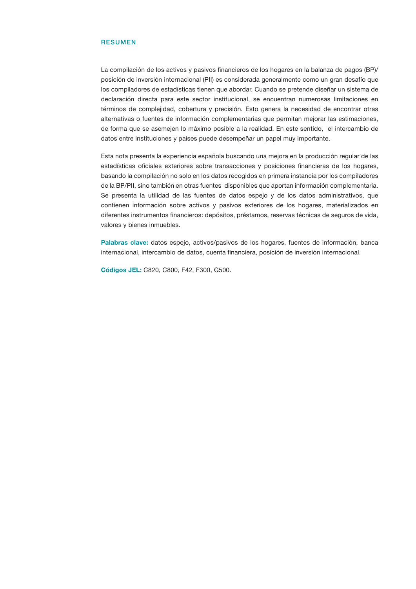#### <span id="page-4-0"></span>RESUMEN

La compilación de los activos y pasivos financieros de los hogares en la balanza de pagos (BP)/ posición de inversión internacional (PII) es considerada generalmente como un gran desafío que los compiladores de estadísticas tienen que abordar. Cuando se pretende diseñar un sistema de declaración directa para este sector institucional, se encuentran numerosas limitaciones en términos de complejidad, cobertura y precisión. Esto genera la necesidad de encontrar otras alternativas o fuentes de información complementarias que permitan mejorar las estimaciones, de forma que se asemejen lo máximo posible a la realidad. En este sentido, el intercambio de datos entre instituciones y países puede desempeñar un papel muy importante.

Esta nota presenta la experiencia española buscando una mejora en la producción regular de las estadísticas oficiales exteriores sobre transacciones y posiciones financieras de los hogares, basando la compilación no solo en los datos recogidos en primera instancia por los compiladores de la BP/PII, sino también en otras fuentes disponibles que aportan información complementaria. Se presenta la utilidad de las fuentes de datos espejo y de los datos administrativos, que contienen información sobre activos y pasivos exteriores de los hogares, materializados en diferentes instrumentos financieros: depósitos, préstamos, reservas técnicas de seguros de vida, valores y bienes inmuebles.

Palabras clave: datos espejo, activos/pasivos de los hogares, fuentes de información, banca internacional, intercambio de datos, cuenta financiera, posición de inversión internacional.

Códigos JEL: C820, C800, F42, F300, G500.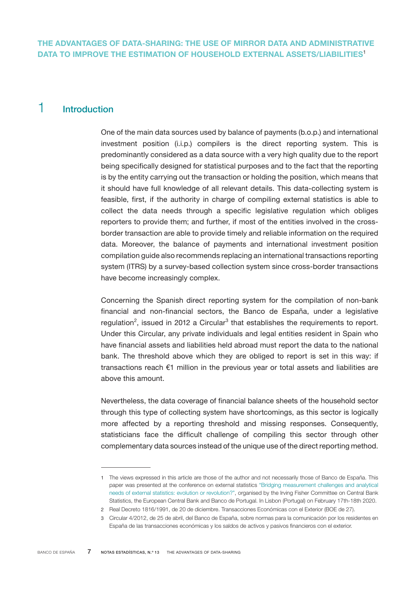# <span id="page-6-0"></span>1 Introduction

One of the main data sources used by balance of payments (b.o.p.) and international investment position (i.i.p.) compilers is the direct reporting system. This is predominantly considered as a data source with a very high quality due to the report being specifically designed for statistical purposes and to the fact that the reporting is by the entity carrying out the transaction or holding the position, which means that it should have full knowledge of all relevant details. This data-collecting system is feasible, first, if the authority in charge of compiling external statistics is able to collect the data needs through a specific legislative regulation which obliges reporters to provide them; and further, if most of the entities involved in the crossborder transaction are able to provide timely and reliable information on the required data. Moreover, the balance of payments and international investment position compilation guide also recommends replacing an international transactions reporting system (ITRS) by a survey-based collection system since cross-border transactions have become increasingly complex.

Concerning the Spanish direct reporting system for the compilation of non-bank financial and non-financial sectors, the Banco de España, under a legislative regulation<sup>2</sup>, issued in 2012 a Circular<sup>3</sup> that establishes the requirements to report. Under this Circular, any private individuals and legal entities resident in Spain who have financial assets and liabilities held abroad must report the data to the national bank. The threshold above which they are obliged to report is set in this way: if transactions reach €1 million in the previous year or total assets and liabilities are above this amount.

Nevertheless, the data coverage of financial balance sheets of the household sector through this type of collecting system have shortcomings, as this sector is logically more affected by a reporting threshold and missing responses. Consequently, statisticians face the difficult challenge of compiling this sector through other complementary data sources instead of the unique use of the direct reporting method.

<sup>1</sup> The views expressed in this article are those of the author and not necessarily those of Banco de España. This paper was presented at the conference on external statistics ["Bridging measurement challenges and analytical](https://www.bis.org/ifc/events/ifc_ecb_bdp_200218_programme.pdf) [needs of external statistics: evolution or revolution?"](https://www.bis.org/ifc/events/ifc_ecb_bdp_200218_programme.pdf), organised by the Irving Fisher Committee on Central Bank Statistics, the European Central Bank and Banco de Portugal. In Lisbon (Portugal) on February 17th-18th 2020.

<sup>2</sup> Real Decreto 1816/1991, de 20 de diciembre. Transacciones Económicas con el Exterior (BOE de 27).

<sup>3</sup> Circular 4/2012, de 25 de abril, del Banco de España, sobre normas para la comunicación por los residentes en España de las transacciones económicas y los saldos de activos y pasivos financieros con el exterior.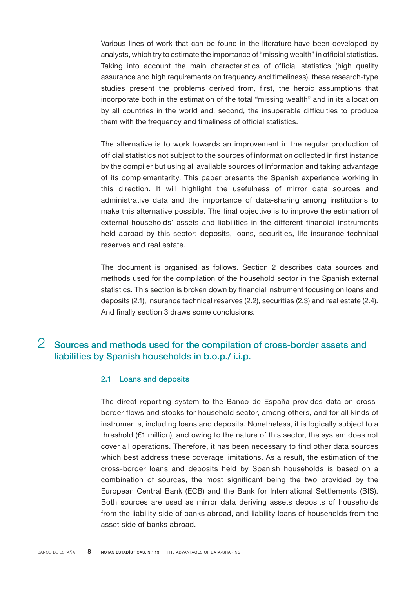<span id="page-7-0"></span>Various lines of work that can be found in the literature have been developed by analysts, which try to estimate the importance of "missing wealth" in official statistics. Taking into account the main characteristics of official statistics (high quality assurance and high requirements on frequency and timeliness), these research-type studies present the problems derived from, first, the heroic assumptions that incorporate both in the estimation of the total "missing wealth" and in its allocation by all countries in the world and, second, the insuperable difficulties to produce them with the frequency and timeliness of official statistics.

The alternative is to work towards an improvement in the regular production of official statistics not subject to the sources of information collected in first instance by the compiler but using all available sources of information and taking advantage of its complementarity. This paper presents the Spanish experience working in this direction. It will highlight the usefulness of mirror data sources and administrative data and the importance of data-sharing among institutions to make this alternative possible. The final objective is to improve the estimation of external households' assets and liabilities in the different financial instruments held abroad by this sector: deposits, loans, securities, life insurance technical reserves and real estate.

The document is organised as follows. Section 2 describes data sources and methods used for the compilation of the household sector in the Spanish external statistics. This section is broken down by financial instrument focusing on loans and deposits (2.1), insurance technical reserves (2.2), securities (2.3) and real estate (2.4). And finally section 3 draws some conclusions.

# 2 Sources and methods used for the compilation of cross-border assets and liabilities by Spanish households in b.o.p./ i.i.p.

# 2.1 Loans and deposits

The direct reporting system to the Banco de España provides data on crossborder flows and stocks for household sector, among others, and for all kinds of instruments, including loans and deposits. Nonetheless, it is logically subject to a threshold (€1 million), and owing to the nature of this sector, the system does not cover all operations. Therefore, it has been necessary to find other data sources which best address these coverage limitations. As a result, the estimation of the cross-border loans and deposits held by Spanish households is based on a combination of sources, the most significant being the two provided by the European Central Bank (ECB) and the Bank for International Settlements (BIS). Both sources are used as mirror data deriving assets deposits of households from the liability side of banks abroad, and liability loans of households from the asset side of banks abroad.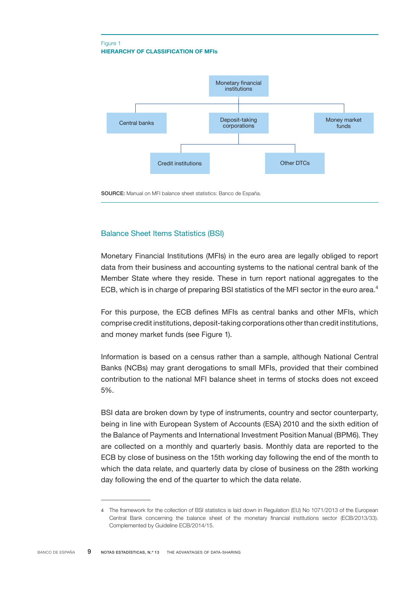### <span id="page-8-0"></span>HIERARCHY OF CLASSIFICATION OF MFIs Figure 1



SOURCE: Manual on MFI balance sheet statistics: Banco de España.

# Balance Sheet Items Statistics (BSI)

Monetary Financial Institutions (MFIs) in the euro area are legally obliged to report data from their business and accounting systems to the national central bank of the Member State where they reside. These in turn report national aggregates to the ECB, which is in charge of preparing BSI statistics of the MFI sector in the euro area.<sup>4</sup>

For this purpose, the ECB defines MFIs as central banks and other MFIs, which comprise credit institutions, deposit-taking corporations other than credit institutions, and money market funds (see Figure 1).

Information is based on a census rather than a sample, although National Central Banks (NCBs) may grant derogations to small MFIs, provided that their combined contribution to the national MFI balance sheet in terms of stocks does not exceed 5%.

BSI data are broken down by type of instruments, country and sector counterparty, being in line with European System of Accounts (ESA) 2010 and the sixth edition of the Balance of Payments and International Investment Position Manual (BPM6). They are collected on a monthly and quarterly basis. Monthly data are reported to the ECB by close of business on the 15th working day following the end of the month to which the data relate, and quarterly data by close of business on the 28th working day following the end of the quarter to which the data relate.

<sup>4</sup> The framework for the collection of BSI statistics is laid down in Regulation (EU) No 1071/2013 of the European Central Bank concerning the balance sheet of the monetary financial institutions sector (ECB/2013/33). Complemented by Guideline ECB/2014/15.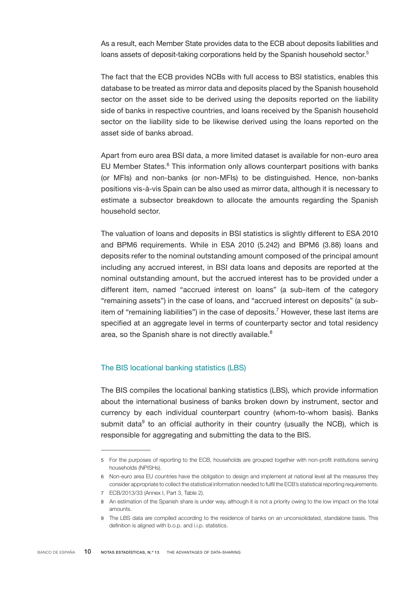<span id="page-9-0"></span>As a result, each Member State provides data to the ECB about deposits liabilities and loans assets of deposit-taking corporations held by the Spanish household sector.<sup>5</sup>

The fact that the ECB provides NCBs with full access to BSI statistics, enables this database to be treated as mirror data and deposits placed by the Spanish household sector on the asset side to be derived using the deposits reported on the liability side of banks in respective countries, and loans received by the Spanish household sector on the liability side to be likewise derived using the loans reported on the asset side of banks abroad.

Apart from euro area BSI data, a more limited dataset is available for non-euro area EU Member States.<sup>6</sup> This information only allows counterpart positions with banks (or MFIs) and non-banks (or non-MFIs) to be distinguished. Hence, non-banks positions vis-à-vis Spain can be also used as mirror data, although it is necessary to estimate a subsector breakdown to allocate the amounts regarding the Spanish household sector.

The valuation of loans and deposits in BSI statistics is slightly different to ESA 2010 and BPM6 requirements. While in ESA 2010 (5.242) and BPM6 (3.88) loans and deposits refer to the nominal outstanding amount composed of the principal amount including any accrued interest, in BSI data loans and deposits are reported at the nominal outstanding amount, but the accrued interest has to be provided under a different item, named "accrued interest on loans" (a sub-item of the category "remaining assets") in the case of loans, and "accrued interest on deposits" (a subitem of "remaining liabilities") in the case of deposits.<sup>7</sup> However, these last items are specified at an aggregate level in terms of counterparty sector and total residency area, so the Spanish share is not directly available.<sup>8</sup>

# The BIS locational banking statistics (LBS)

The BIS compiles the locational banking statistics (LBS), which provide information about the international business of banks broken down by instrument, sector and currency by each individual counterpart country (whom-to-whom basis). Banks submit data $9$  to an official authority in their country (usually the NCB), which is responsible for aggregating and submitting the data to the BIS.

<sup>5</sup> For the purposes of reporting to the ECB, households are grouped together with non-profit institutions serving households (NPISHs).

<sup>6</sup> Non-euro area EU countries have the obligation to design and implement at national level all the measures they consider appropriate to collect the statistical information needed to fulfil the ECB's statistical reporting requirements. 7 ECB/2013/33 (Annex I, Part 3, Table 2).

<sup>8</sup> An estimation of the Spanish share is under way, although it is not a priority owing to the low impact on the total amounts.

<sup>9</sup> The LBS data are compiled according to the residence of banks on an unconsolidated, standalone basis. This definition is aligned with b.o.p. and i.i.p. statistics.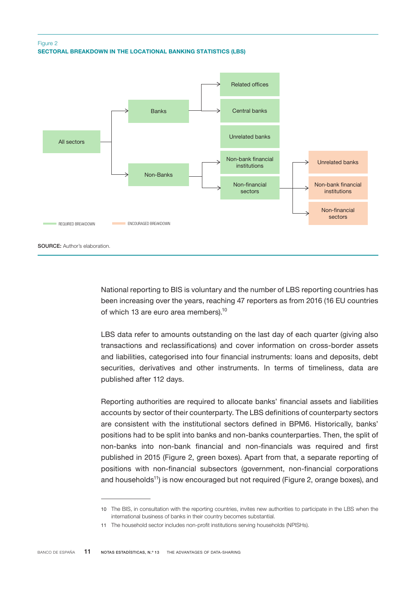# SECTORAL BREAKDOWN IN THE LOCATIONAL BANKING STATISTICS (LBS) Figure 2



National reporting to BIS is voluntary and the number of LBS reporting countries has been increasing over the years, reaching 47 reporters as from 2016 (16 EU countries of which 13 are euro area members).<sup>10</sup>

LBS data refer to amounts outstanding on the last day of each quarter (giving also transactions and reclassifications) and cover information on cross-border assets and liabilities, categorised into four financial instruments: loans and deposits, debt securities, derivatives and other instruments. In terms of timeliness, data are published after 112 days.

Reporting authorities are required to allocate banks' financial assets and liabilities accounts by sector of their counterparty. The LBS definitions of counterparty sectors are consistent with the institutional sectors defined in BPM6. Historically, banks' positions had to be split into banks and non-banks counterparties. Then, the split of non-banks into non-bank financial and non-financials was required and first published in 2015 (Figure 2, green boxes). Apart from that, a separate reporting of positions with non-financial subsectors (government, non-financial corporations and households<sup>11</sup>) is now encouraged but not required (Figure 2, orange boxes), and

<sup>10</sup> The BIS, in consultation with the reporting countries, invites new authorities to participate in the LBS when the international business of banks in their country becomes substantial.

<sup>11</sup> The household sector includes non-profit institutions serving households (NPISHs).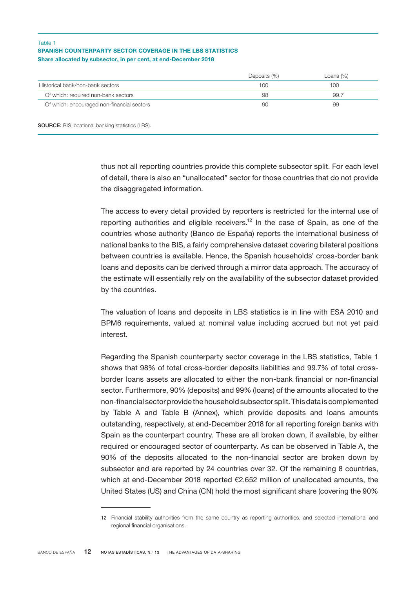#### SPANISH COUNTERPARTY SECTOR COVERAGE IN THE LBS STATISTICS Share allocated by subsector, in per cent, at end-December 2018 Table 1

|                                            | Deposits (%) | Loans $(\%)$ |
|--------------------------------------------|--------------|--------------|
| Historical bank/non-bank sectors           | 100          | $100 -$      |
| Of which: required non-bank sectors        | 98           | 99.7         |
| Of which: encouraged non-financial sectors | 90           | 99           |

SOURCE: BIS locational banking statistics (LBS).

thus not all reporting countries provide this complete subsector split. For each level of detail, there is also an "unallocated" sector for those countries that do not provide the disaggregated information.

The access to every detail provided by reporters is restricted for the internal use of reporting authorities and eligible receivers.<sup>12</sup> In the case of Spain, as one of the countries whose authority (Banco de España) reports the international business of national banks to the BIS, a fairly comprehensive dataset covering bilateral positions between countries is available. Hence, the Spanish households' cross-border bank loans and deposits can be derived through a mirror data approach. The accuracy of the estimate will essentially rely on the availability of the subsector dataset provided by the countries.

The valuation of loans and deposits in LBS statistics is in line with ESA 2010 and BPM6 requirements, valued at nominal value including accrued but not yet paid interest.

Regarding the Spanish counterparty sector coverage in the LBS statistics, Table 1 shows that 98% of total cross-border deposits liabilities and 99.7% of total crossborder loans assets are allocated to either the non-bank financial or non-financial sector. Furthermore, 90% (deposits) and 99% (loans) of the amounts allocated to the non-financial sector provide the household subsector split. This data is complemented by Table A and Table B (Annex), which provide deposits and loans amounts outstanding, respectively, at end-December 2018 for all reporting foreign banks with Spain as the counterpart country. These are all broken down, if available, by either required or encouraged sector of counterparty. As can be observed in Table A, the 90% of the deposits allocated to the non-financial sector are broken down by subsector and are reported by 24 countries over 32. Of the remaining 8 countries, which at end-December 2018 reported €2,652 million of unallocated amounts, the United States (US) and China (CN) hold the most significant share (covering the 90%

<sup>12</sup> Financial stability authorities from the same country as reporting authorities, and selected international and regional financial organisations.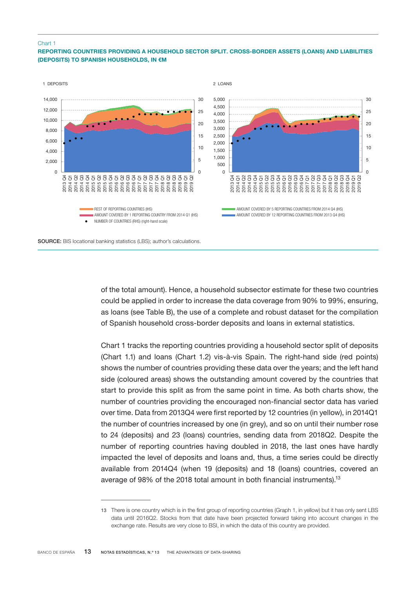#### Chart 1

### REPORTING COUNTRIES PROVIDING A HOUSEHOLD SECTOR SPLIT. CROSS-BORDER ASSETS (LOANS) AND LIABILITIES (DEPOSITS) TO SPANISH HOUSEHOLDS, IN €M



of the total amount). Hence, a household subsector estimate for these two countries could be applied in order to increase the data coverage from 90% to 99%, ensuring, as loans (see Table B), the use of a complete and robust dataset for the compilation of Spanish household cross-border deposits and loans in external statistics.

Chart 1 tracks the reporting countries providing a household sector split of deposits (Chart 1.1) and loans (Chart 1.2) vis-à-vis Spain. The right-hand side (red points) shows the number of countries providing these data over the years; and the left hand side (coloured areas) shows the outstanding amount covered by the countries that start to provide this split as from the same point in time. As both charts show, the number of countries providing the encouraged non-financial sector data has varied over time. Data from 2013Q4 were first reported by 12 countries (in yellow), in 2014Q1 the number of countries increased by one (in grey), and so on until their number rose to 24 (deposits) and 23 (loans) countries, sending data from 2018Q2. Despite the number of reporting countries having doubled in 2018, the last ones have hardly impacted the level of deposits and loans and, thus, a time series could be directly available from 2014Q4 (when 19 (deposits) and 18 (loans) countries, covered an average of 98% of the 2018 total amount in both financial instruments).<sup>13</sup>

<sup>13</sup> There is one country which is in the first group of reporting countries (Graph 1, in yellow) but it has only sent LBS data until 2016Q2. Stocks from that date have been projected forward taking into account changes in the exchange rate. Results are very close to BSI, in which the data of this country are provided.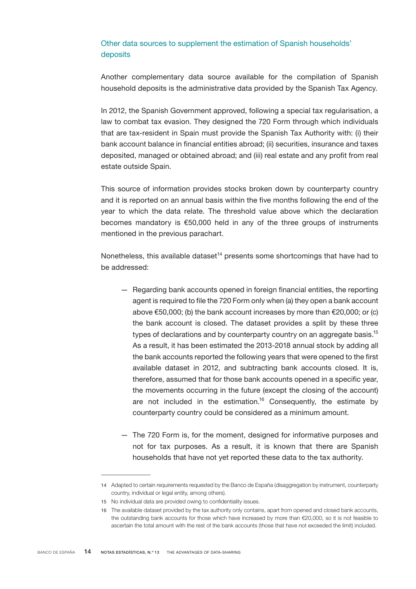# <span id="page-13-0"></span>Other data sources to supplement the estimation of Spanish households' deposits

Another complementary data source available for the compilation of Spanish household deposits is the administrative data provided by the Spanish Tax Agency.

In 2012, the Spanish Government approved, following a special tax regularisation, a law to combat tax evasion. They designed the 720 Form through which individuals that are tax-resident in Spain must provide the Spanish Tax Authority with: (i) their bank account balance in financial entities abroad; (ii) securities, insurance and taxes deposited, managed or obtained abroad; and (iii) real estate and any profit from real estate outside Spain.

This source of information provides stocks broken down by counterparty country and it is reported on an annual basis within the five months following the end of the year to which the data relate. The threshold value above which the declaration becomes mandatory is €50,000 held in any of the three groups of instruments mentioned in the previous parachart.

Nonetheless, this available dataset<sup>14</sup> presents some shortcomings that have had to be addressed:

- Regarding bank accounts opened in foreign financial entities, the reporting agent is required to file the 720 Form only when (a) they open a bank account above  $\epsilon$ 50,000; (b) the bank account increases by more than  $\epsilon$ 20,000; or (c) the bank account is closed. The dataset provides a split by these three types of declarations and by counterparty country on an aggregate basis.<sup>15</sup> As a result, it has been estimated the 2013-2018 annual stock by adding all the bank accounts reported the following years that were opened to the first available dataset in 2012, and subtracting bank accounts closed. It is, therefore, assumed that for those bank accounts opened in a specific year, the movements occurring in the future (except the closing of the account) are not included in the estimation.<sup>16</sup> Consequently, the estimate by counterparty country could be considered as a minimum amount.
- The 720 Form is, for the moment, designed for informative purposes and not for tax purposes. As a result, it is known that there are Spanish households that have not yet reported these data to the tax authority.

<sup>14</sup> Adapted to certain requirements requested by the Banco de España (disaggregation by instrument, counterparty country, individual or legal entity, among others).

<sup>15</sup> No individual data are provided owing to confidentiality issues.

<sup>16</sup> The available dataset provided by the tax authority only contains, apart from opened and closed bank accounts, the outstanding bank accounts for those which have increased by more than €20,000, so it is not feasible to ascertain the total amount with the rest of the bank accounts (those that have not exceeded the limit) included.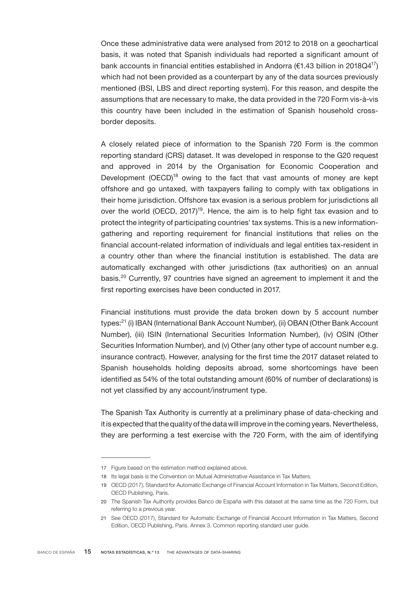Once these administrative data were analysed from 2012 to 2018 on a geochartical basis, it was noted that Spanish individuals had reported a significant amount of bank accounts in financial entities established in Andorra ( $\epsilon$ 1.43 billion in 2018Q4<sup>17</sup>) which had not been provided as a counterpart by any of the data sources previously mentioned (BSI, LBS and direct reporting system). For this reason, and despite the assumptions that are necessary to make, the data provided in the 720 Form vis-à-vis this country have been included in the estimation of Spanish household crossborder deposits.

A closely related piece of information to the Spanish 720 Form is the common reporting standard (CRS) dataset. It was developed in response to the G20 request and approved in 2014 by the Organisation for Economic Cooperation and Development (OECD)<sup>18</sup> owing to the fact that vast amounts of money are kept offshore and go untaxed, with taxpayers failing to comply with tax obligations in their home jurisdiction. Offshore tax evasion is a serious problem for jurisdictions all over the world (OECD, 2017)<sup>19</sup>. Hence, the aim is to help fight tax evasion and to protect the integrity of participating countries' tax systems. This is a new informationgathering and reporting requirement for financial institutions that relies on the financial account-related information of individuals and legal entities tax-resident in a country other than where the financial institution is established. The data are automatically exchanged with other jurisdictions (tax authorities) on an annual basis.<sup>20</sup> Currently, 97 countries have signed an agreement to implement it and the first reporting exercises have been conducted in 2017.

Financial institutions must provide the data broken down by 5 account number types:<sup>21</sup> (i) IBAN (International Bank Account Number), (ii) OBAN (Other Bank Account Number), (iii) ISIN (International Securities Information Number), (iv) OSIN (Other Securities Information Number), and (v) Other (any other type of account number e.g. insurance contract). However, analysing for the first time the 2017 dataset related to Spanish households holding deposits abroad, some shortcomings have been identified as 54% of the total outstanding amount (60% of number of declarations) is not yet classified by any account/instrument type.

The Spanish Tax Authority is currently at a preliminary phase of data-checking and it is expected that the quality of the data will improve in the coming years. Nevertheless, they are performing a test exercise with the 720 Form, with the aim of identifying

<sup>17</sup> Figure based on the estimation method explained above.

<sup>18</sup> Its legal basis is the Convention on Mutual Administrative Assistance in Tax Matters.

<sup>19</sup> OECD (2017), Standard for Automatic Exchange of Financial Account Information in Tax Matters, Second Edition, OECD Publishing, Paris.

<sup>20</sup> The Spanish Tax Authority provides Banco de España with this dataset at the same time as the 720 Form, but referring to a previous year.

<sup>21</sup> See OECD (2017), Standard for Automatic Exchange of Financial Account Information in Tax Matters, Second Edition, OECD Publishing, Paris. Annex 3. Common reporting standard user guide.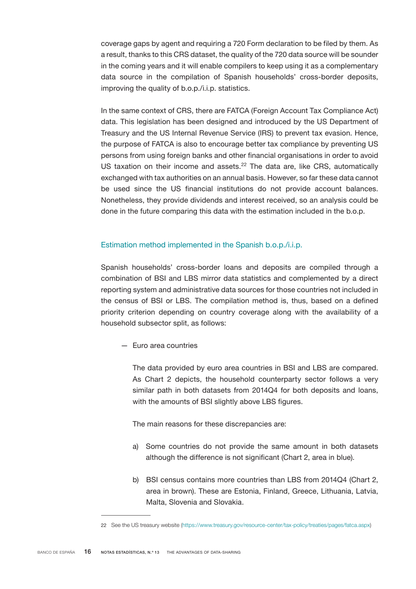<span id="page-15-0"></span>coverage gaps by agent and requiring a 720 Form declaration to be filed by them. As a result, thanks to this CRS dataset, the quality of the 720 data source will be sounder in the coming years and it will enable compilers to keep using it as a complementary data source in the compilation of Spanish households' cross-border deposits, improving the quality of b.o.p./i.i.p. statistics.

In the same context of CRS, there are FATCA (Foreign Account Tax Compliance Act) data. This legislation has been designed and introduced by the US Department of Treasury and the US Internal Revenue Service (IRS) to prevent tax evasion. Hence, the purpose of FATCA is also to encourage better tax compliance by preventing US persons from using foreign banks and other financial organisations in order to avoid US taxation on their income and assets. $22$  The data are, like CRS, automatically exchanged with tax authorities on an annual basis. However, so far these data cannot be used since the US financial institutions do not provide account balances. Nonetheless, they provide dividends and interest received, so an analysis could be done in the future comparing this data with the estimation included in the b.o.p.

# Estimation method implemented in the Spanish b.o.p./i.i.p.

Spanish households' cross-border loans and deposits are compiled through a combination of BSI and LBS mirror data statistics and complemented by a direct reporting system and administrative data sources for those countries not included in the census of BSI or LBS. The compilation method is, thus, based on a defined priority criterion depending on country coverage along with the availability of a household subsector split, as follows:

— Euro area countries

The data provided by euro area countries in BSI and LBS are compared. As Chart 2 depicts, the household counterparty sector follows a very similar path in both datasets from 2014Q4 for both deposits and loans, with the amounts of BSI slightly above LBS figures.

The main reasons for these discrepancies are:

- a) Some countries do not provide the same amount in both datasets although the difference is not significant (Chart 2, area in blue).
- b) BSI census contains more countries than LBS from 2014Q4 (Chart 2, area in brown). These are Estonia, Finland, Greece, Lithuania, Latvia, Malta, Slovenia and Slovakia.

<sup>22</sup> See the US treasury website [\(https://www.treasury.gov/resource-center/tax-policy/treaties/pages/fatca.aspx\)](https://www.treasury.gov/resource-center/tax-policy/treaties/pages/fatca.aspx)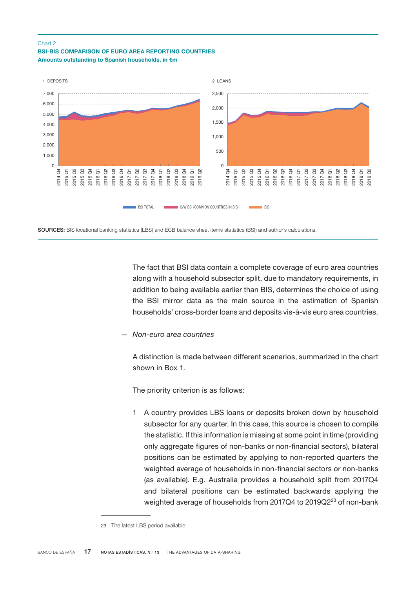#### Chart 2





SOURCES: BIS locational banking statistics (LBS) and ECB balance sheet items statistics (BSI) and author's calculations.

The fact that BSI data contain a complete coverage of euro area countries along with a household subsector split, due to mandatory requirements, in addition to being available earlier than BIS, determines the choice of using the BSI mirror data as the main source in the estimation of Spanish households' cross-border loans and deposits vis-à-vis euro area countries.

*— Non-euro area countries*

A distinction is made between different scenarios, summarized in the chart shown in Box 1.

The priority criterion is as follows:

1 A country provides LBS loans or deposits broken down by household subsector for any quarter. In this case, this source is chosen to compile the statistic. If this information is missing at some point in time (providing only aggregate figures of non-banks or non-financial sectors), bilateral positions can be estimated by applying to non-reported quarters the weighted average of households in non-financial sectors or non-banks (as available). E.g. Australia provides a household split from 2017Q4 and bilateral positions can be estimated backwards applying the weighted average of households from 2017Q4 to 2019Q2<sup>23</sup> of non-bank

<sup>23</sup> The latest LBS period available.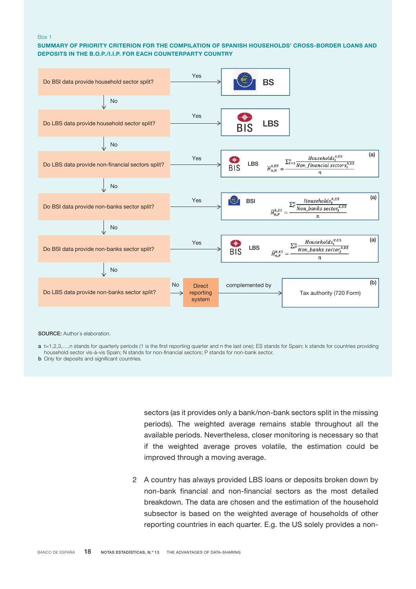#### Box 1

#### SUMMARY OF PRIORITY CRITERION FOR THE COMPILATION OF SPANISH HOUSEHOLDS' CROSS-BORDER LOANS AND DEPOSITS IN THE B.O.P./I.I.P. FOR EACH COUNTERPARTY COUNTRY



SOURCE: Author's elaboration.

a t=1,2,3,...,n stands for quarterly periods (1 is the first reporting quarter and n the last one); ES stands for Spain; k stands for countries providing household sector vis-à-vis Spain; N stands for non-financial sectors; P stands for non-bank sector.

**b** Only for deposits and significant countries.

sectors (as it provides only a bank/non-bank sectors split in the missing periods). The weighted average remains stable throughout all the available periods. Nevertheless, closer monitoring is necessary so that if the weighted average proves volatile, the estimation could be improved through a moving average.

2 A country has always provided LBS loans or deposits broken down by non-bank financial and non-financial sectors as the most detailed breakdown. The data are chosen and the estimation of the household subsector is based on the weighted average of households of other reporting countries in each quarter. E.g. the US solely provides a non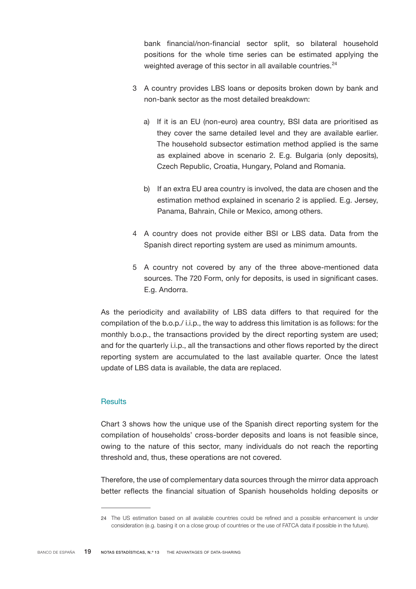<span id="page-18-0"></span>bank financial/non-financial sector split, so bilateral household positions for the whole time series can be estimated applying the weighted average of this sector in all available countries.<sup>24</sup>

- 3 A country provides LBS loans or deposits broken down by bank and non-bank sector as the most detailed breakdown:
	- a) If it is an EU (non-euro) area country, BSI data are prioritised as they cover the same detailed level and they are available earlier. The household subsector estimation method applied is the same as explained above in scenario 2. E.g. Bulgaria (only deposits), Czech Republic, Croatia, Hungary, Poland and Romania.
	- b) If an extra EU area country is involved, the data are chosen and the estimation method explained in scenario 2 is applied. E.g. Jersey, Panama, Bahrain, Chile or Mexico, among others.
- 4 A country does not provide either BSI or LBS data. Data from the Spanish direct reporting system are used as minimum amounts.
- 5 A country not covered by any of the three above-mentioned data sources. The 720 Form, only for deposits, is used in significant cases. E.g. Andorra.

As the periodicity and availability of LBS data differs to that required for the compilation of the b.o.p./ i.i.p., the way to address this limitation is as follows: for the monthly b.o.p., the transactions provided by the direct reporting system are used; and for the quarterly i.i.p., all the transactions and other flows reported by the direct reporting system are accumulated to the last available quarter. Once the latest update of LBS data is available, the data are replaced.

# **Results**

Chart 3 shows how the unique use of the Spanish direct reporting system for the compilation of households' cross-border deposits and loans is not feasible since, owing to the nature of this sector, many individuals do not reach the reporting threshold and, thus, these operations are not covered.

Therefore, the use of complementary data sources through the mirror data approach better reflects the financial situation of Spanish households holding deposits or

<sup>24</sup> The US estimation based on all available countries could be refined and a possible enhancement is under consideration (e.g. basing it on a close group of countries or the use of FATCA data if possible in the future).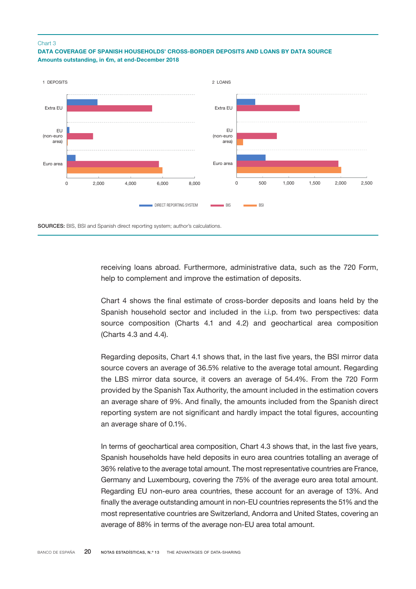#### Chart 3

# DATA COVERAGE OF SPANISH HOUSEHOLDS' CROSS-BORDER DEPOSITS AND LOANS BY DATA SOURCE Amounts outstanding, in €m, at end-December 2018



receiving loans abroad. Furthermore, administrative data, such as the 720 Form, help to complement and improve the estimation of deposits.

Chart 4 shows the final estimate of cross-border deposits and loans held by the Spanish household sector and included in the i.i.p. from two perspectives: data source composition (Charts 4.1 and 4.2) and geochartical area composition (Charts 4.3 and 4.4).

Regarding deposits, Chart 4.1 shows that, in the last five years, the BSI mirror data source covers an average of 36.5% relative to the average total amount. Regarding the LBS mirror data source, it covers an average of 54.4%. From the 720 Form provided by the Spanish Tax Authority, the amount included in the estimation covers an average share of 9%. And finally, the amounts included from the Spanish direct reporting system are not significant and hardly impact the total figures, accounting an average share of 0.1%.

In terms of geochartical area composition, Chart 4.3 shows that, in the last five years, Spanish households have held deposits in euro area countries totalling an average of 36% relative to the average total amount. The most representative countries are France, Germany and Luxembourg, covering the 75% of the average euro area total amount. Regarding EU non-euro area countries, these account for an average of 13%. And finally the average outstanding amount in non-EU countries represents the 51% and the most representative countries are Switzerland, Andorra and United States, covering an average of 88% in terms of the average non-EU area total amount.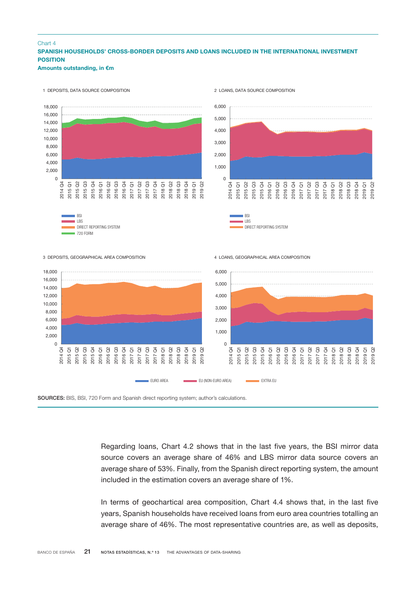### SPANISH HOUSEHOLDS' CROSS-BORDER DEPOSITS AND LOANS INCLUDED IN THE INTERNATIONAL INVESTMENT **POSITION** Amounts outstanding, in €m Chart 4



1 DEPOSITS, DATA SOURCE COMPOSITION

2 LOANS, DATA SOURCE COMPOSITION

SOURCES: BIS, BSI, 720 Form and Spanish direct reporting system; author's calculations.

Regarding loans, Chart 4.2 shows that in the last five years, the BSI mirror data source covers an average share of 46% and LBS mirror data source covers an average share of 53%. Finally, from the Spanish direct reporting system, the amount included in the estimation covers an average share of 1%.

In terms of geochartical area composition, Chart 4.4 shows that, in the last five years, Spanish households have received loans from euro area countries totalling an average share of 46%. The most representative countries are, as well as deposits,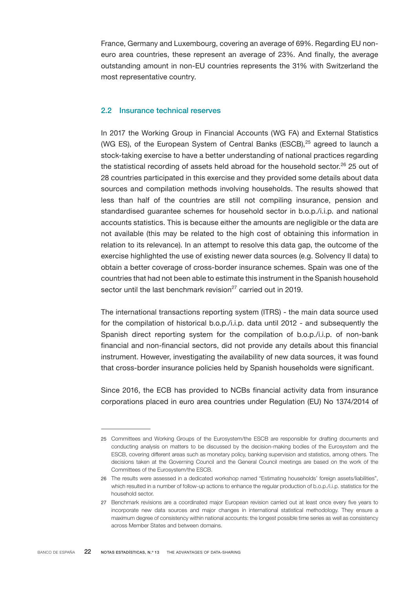<span id="page-21-0"></span>France, Germany and Luxembourg, covering an average of 69%. Regarding EU noneuro area countries, these represent an average of 23%. And finally, the average outstanding amount in non-EU countries represents the 31% with Switzerland the most representative country.

# 2.2 Insurance technical reserves

In 2017 the Working Group in Financial Accounts (WG FA) and External Statistics (WG ES), of the European System of Central Banks (ESCB),<sup>25</sup> agreed to launch a stock-taking exercise to have a better understanding of national practices regarding the statistical recording of assets held abroad for the household sector.<sup>26</sup> 25 out of 28 countries participated in this exercise and they provided some details about data sources and compilation methods involving households. The results showed that less than half of the countries are still not compiling insurance, pension and standardised guarantee schemes for household sector in b.o.p./i.i.p. and national accounts statistics. This is because either the amounts are negligible or the data are not available (this may be related to the high cost of obtaining this information in relation to its relevance). In an attempt to resolve this data gap, the outcome of the exercise highlighted the use of existing newer data sources (e.g. Solvency II data) to obtain a better coverage of cross-border insurance schemes. Spain was one of the countries that had not been able to estimate this instrument in the Spanish household sector until the last benchmark revision<sup>27</sup> carried out in 2019.

The international transactions reporting system (ITRS) - the main data source used for the compilation of historical b.o.p./i.i.p. data until 2012 - and subsequently the Spanish direct reporting system for the compilation of b.o.p./i.i.p. of non-bank financial and non-financial sectors, did not provide any details about this financial instrument. However, investigating the availability of new data sources, it was found that cross-border insurance policies held by Spanish households were significant.

Since 2016, the ECB has provided to NCBs financial activity data from insurance corporations placed in euro area countries under Regulation (EU) No 1374/2014 of

<sup>25</sup> Committees and Working Groups of the Eurosystem/the ESCB are responsible for drafting documents and conducting analysis on matters to be discussed by the decision-making bodies of the Eurosystem and the ESCB, covering different areas such as monetary policy, banking supervision and statistics, among others. The decisions taken at the Governing Council and the General Council meetings are based on the work of the Committees of the Eurosystem/the ESCB.

<sup>26</sup> The results were assessed in a dedicated workshop named "Estimating households' foreign assets/liabilities", which resulted in a number of follow-up actions to enhance the regular production of b.o.p./i.i.p. statistics for the household sector.

<sup>27</sup> Benchmark revisions are a coordinated major European revision carried out at least once every five years to incorporate new data sources and major changes in international statistical methodology. They ensure a maximum degree of consistency within national accounts: the longest possible time series as well as consistency across Member States and between domains.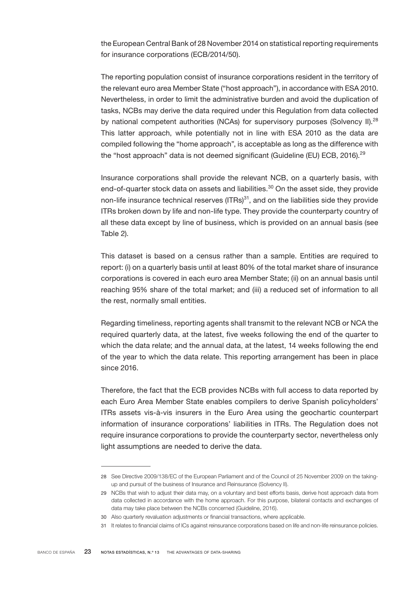the European Central Bank of 28 November 2014 on statistical reporting requirements for insurance corporations (ECB/2014/50).

The reporting population consist of insurance corporations resident in the territory of the relevant euro area Member State ("host approach"), in accordance with ESA 2010. Nevertheless, in order to limit the administrative burden and avoid the duplication of tasks, NCBs may derive the data required under this Regulation from data collected by national competent authorities (NCAs) for supervisory purposes (Solvency II).<sup>28</sup> This latter approach, while potentially not in line with ESA 2010 as the data are compiled following the "home approach", is acceptable as long as the difference with the "host approach" data is not deemed significant (Guideline (EU) ECB, 2016).<sup>29</sup>

Insurance corporations shall provide the relevant NCB, on a quarterly basis, with end-of-quarter stock data on assets and liabilities.<sup>30</sup> On the asset side, they provide non-life insurance technical reserves  $(ITRs)^{31}$ , and on the liabilities side they provide ITRs broken down by life and non-life type. They provide the counterparty country of all these data except by line of business, which is provided on an annual basis (see Table 2).

This dataset is based on a census rather than a sample. Entities are required to report: (i) on a quarterly basis until at least 80% of the total market share of insurance corporations is covered in each euro area Member State; (ii) on an annual basis until reaching 95% share of the total market; and (iii) a reduced set of information to all the rest, normally small entities.

Regarding timeliness, reporting agents shall transmit to the relevant NCB or NCA the required quarterly data, at the latest, five weeks following the end of the quarter to which the data relate; and the annual data, at the latest, 14 weeks following the end of the year to which the data relate. This reporting arrangement has been in place since 2016.

Therefore, the fact that the ECB provides NCBs with full access to data reported by each Euro Area Member State enables compilers to derive Spanish policyholders' ITRs assets vis-à-vis insurers in the Euro Area using the geochartic counterpart information of insurance corporations' liabilities in ITRs. The Regulation does not require insurance corporations to provide the counterparty sector, nevertheless only light assumptions are needed to derive the data.

<sup>28</sup> See Directive 2009/138/EC of the European Parliament and of the Council of 25 November 2009 on the takingup and pursuit of the business of Insurance and Reinsurance (Solvency II).

<sup>29</sup> NCBs that wish to adjust their data may, on a voluntary and best efforts basis, derive host approach data from data collected in accordance with the home approach. For this purpose, bilateral contacts and exchanges of data may take place between the NCBs concerned (Guideline, 2016).

<sup>30</sup> Also quarterly revaluation adjustments or financial transactions, where applicable.

<sup>31</sup> It relates to financial claims of ICs against reinsurance corporations based on life and non-life reinsurance policies.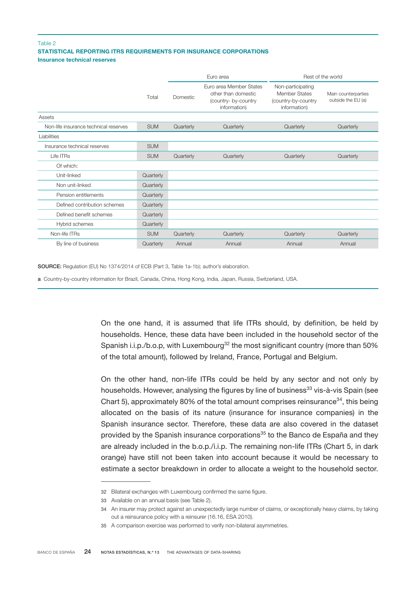### STATISTICAL REPORTING ITRS REQUIREMENTS FOR INSURANCE CORPORATIONS Insurance technical reserves Table 2

|                                       |            | Euro area |                                                                                        | Rest of the world                                                         |                                           |
|---------------------------------------|------------|-----------|----------------------------------------------------------------------------------------|---------------------------------------------------------------------------|-------------------------------------------|
|                                       | Total      | Domestic  | Euro area Member States<br>other than domestic<br>(country- by-country<br>information) | Non-participating<br>Member States<br>(country-by-country<br>information) | Main counterparties<br>outside the EU (a) |
| Assets                                |            |           |                                                                                        |                                                                           |                                           |
| Non-life insurance technical reserves | <b>SUM</b> | Quarterly | Quarterly                                                                              | Quarterly                                                                 | Quarterly                                 |
| Liabilities                           |            |           |                                                                                        |                                                                           |                                           |
| Insurance technical reserves          | <b>SUM</b> |           |                                                                                        |                                                                           |                                           |
| Life ITRs                             | <b>SUM</b> | Quarterly | Quarterly                                                                              | Quarterly                                                                 | Quarterly                                 |
| Of which:                             |            |           |                                                                                        |                                                                           |                                           |
| Unit-linked                           | Quarterly  |           |                                                                                        |                                                                           |                                           |
| Non unit-linked                       | Quarterly  |           |                                                                                        |                                                                           |                                           |
| Pension entitlements                  | Quarterly  |           |                                                                                        |                                                                           |                                           |
| Defined contribution schemes          | Quarterly  |           |                                                                                        |                                                                           |                                           |
| Defined benefit schemes               | Quarterly  |           |                                                                                        |                                                                           |                                           |
| Hybrid schemes                        | Quarterly  |           |                                                                                        |                                                                           |                                           |
| Non-life ITRs                         | <b>SUM</b> | Quarterly | Quarterly                                                                              | Quarterly                                                                 | Quarterly                                 |
| By line of business                   | Quarterly  | Annual    | Annual                                                                                 | Annual                                                                    | Annual                                    |

SOURCE: Regulation (EU) No 1374/2014 of ECB (Part 3, Table 1a-1b); author's elaboration.

a Country-by-country information for Brazil, Canada, China, Hong Kong, India, Japan, Russia, Switzerland, USA.

On the one hand, it is assumed that life ITRs should, by definition, be held by households. Hence, these data have been included in the household sector of the Spanish i.i.p./b.o.p, with Luxembourg<sup>32</sup> the most significant country (more than 50%) of the total amount), followed by Ireland, France, Portugal and Belgium.

On the other hand, non-life ITRs could be held by any sector and not only by households. However, analysing the figures by line of business<sup>33</sup> vis-à-vis Spain (see Chart 5), approximately 80% of the total amount comprises reinsurance<sup>34</sup>, this being allocated on the basis of its nature (insurance for insurance companies) in the Spanish insurance sector. Therefore, these data are also covered in the dataset provided by the Spanish insurance corporations<sup>35</sup> to the Banco de España and they are already included in the b.o.p./i.i.p. The remaining non-life ITRs (Chart 5, in dark orange) have still not been taken into account because it would be necessary to estimate a sector breakdown in order to allocate a weight to the household sector.

<sup>32</sup> Bilateral exchanges with Luxembourg confirmed the same figure.

<sup>33</sup> Available on an annual basis (see Table 2).

<sup>34</sup> An insurer may protect against an unexpectedly large number of claims, or exceptionally heavy claims, by taking out a reinsurance policy with a reinsurer (16.16, ESA 2010).

<sup>35</sup> A comparison exercise was performed to verify non-bilateral asymmetries.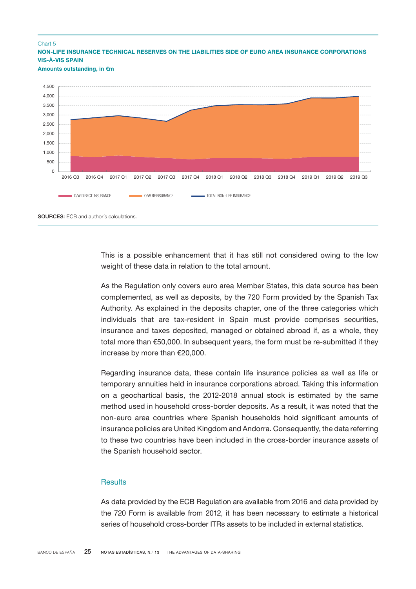#### <span id="page-24-0"></span>Chart 5

NON-LIFE INSURANCE TECHNICAL RESERVES ON THE LIABILITIES SIDE OF EURO AREA INSURANCE CORPORATIONS VIS-À-VIS SPAIN

Amounts outstanding, in €m



This is a possible enhancement that it has still not considered owing to the low weight of these data in relation to the total amount.

As the Regulation only covers euro area Member States, this data source has been complemented, as well as deposits, by the 720 Form provided by the Spanish Tax Authority. As explained in the deposits chapter, one of the three categories which individuals that are tax-resident in Spain must provide comprises securities, insurance and taxes deposited, managed or obtained abroad if, as a whole, they total more than  $\epsilon$ 50,000. In subsequent years, the form must be re-submitted if they increase by more than €20,000.

Regarding insurance data, these contain life insurance policies as well as life or temporary annuities held in insurance corporations abroad. Taking this information on a geochartical basis, the 2012-2018 annual stock is estimated by the same method used in household cross-border deposits. As a result, it was noted that the non-euro area countries where Spanish households hold significant amounts of insurance policies are United Kingdom and Andorra. Consequently, the data referring to these two countries have been included in the cross-border insurance assets of the Spanish household sector.

# **Results**

As data provided by the ECB Regulation are available from 2016 and data provided by the 720 Form is available from 2012, it has been necessary to estimate a historical series of household cross-border ITRs assets to be included in external statistics.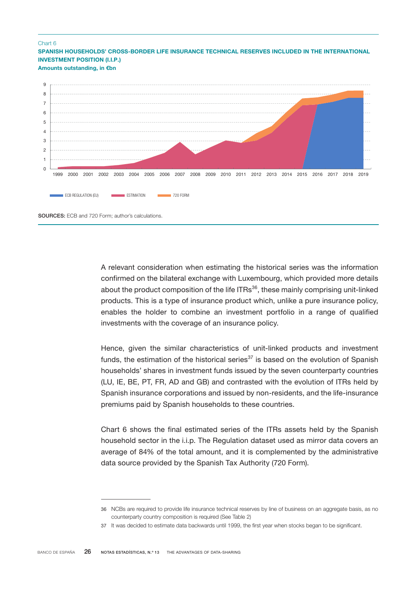#### Chart 6

SPANISH HOUSEHOLDS' CROSS-BORDER LIFE INSURANCE TECHNICAL RESERVES INCLUDED IN THE INTERNATIONAL INVESTMENT POSITION (I.I.P.)

Amounts outstanding, in €bn



A relevant consideration when estimating the historical series was the information confirmed on the bilateral exchange with Luxembourg, which provided more details about the product composition of the life ITRs<sup>36</sup>, these mainly comprising unit-linked products. This is a type of insurance product which, unlike a pure insurance policy, enables the holder to combine an investment portfolio in a range of qualified investments with the coverage of an insurance policy.

Hence, given the similar characteristics of unit-linked products and investment funds, the estimation of the historical series $37$  is based on the evolution of Spanish households' shares in investment funds issued by the seven counterparty countries (LU, IE, BE, PT, FR, AD and GB) and contrasted with the evolution of ITRs held by Spanish insurance corporations and issued by non-residents, and the life-insurance premiums paid by Spanish households to these countries.

Chart 6 shows the final estimated series of the ITRs assets held by the Spanish household sector in the i.i.p. The Regulation dataset used as mirror data covers an average of 84% of the total amount, and it is complemented by the administrative data source provided by the Spanish Tax Authority (720 Form).

<sup>36</sup> NCBs are required to provide life insurance technical reserves by line of business on an aggregate basis, as no counterparty country composition is required (See Table 2)

<sup>37</sup> It was decided to estimate data backwards until 1999, the first year when stocks began to be significant.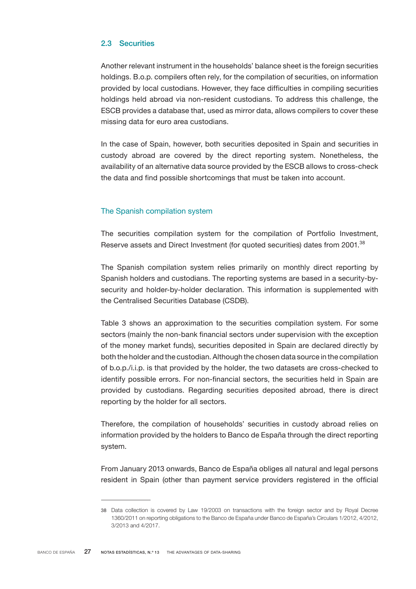# <span id="page-26-0"></span>2.3 Securities

Another relevant instrument in the households' balance sheet is the foreign securities holdings. B.o.p. compilers often rely, for the compilation of securities, on information provided by local custodians. However, they face difficulties in compiling securities holdings held abroad via non-resident custodians. To address this challenge, the ESCB provides a database that, used as mirror data, allows compilers to cover these missing data for euro area custodians.

In the case of Spain, however, both securities deposited in Spain and securities in custody abroad are covered by the direct reporting system. Nonetheless, the availability of an alternative data source provided by the ESCB allows to cross-check the data and find possible shortcomings that must be taken into account.

# The Spanish compilation system

The securities compilation system for the compilation of Portfolio Investment, Reserve assets and Direct Investment (for quoted securities) dates from 2001.<sup>38</sup>

The Spanish compilation system relies primarily on monthly direct reporting by Spanish holders and custodians. The reporting systems are based in a security-bysecurity and holder-by-holder declaration. This information is supplemented with the Centralised Securities Database (CSDB).

Table 3 shows an approximation to the securities compilation system. For some sectors (mainly the non-bank financial sectors under supervision with the exception of the money market funds), securities deposited in Spain are declared directly by both the holder and the custodian. Although the chosen data source in the compilation of b.o.p./i.i.p. is that provided by the holder, the two datasets are cross-checked to identify possible errors. For non-financial sectors, the securities held in Spain are provided by custodians. Regarding securities deposited abroad, there is direct reporting by the holder for all sectors.

Therefore, the compilation of households' securities in custody abroad relies on information provided by the holders to Banco de España through the direct reporting system.

From January 2013 onwards, Banco de España obliges all natural and legal persons resident in Spain (other than payment service providers registered in the official

<sup>38</sup> Data collection is covered by Law 19/2003 on transactions with the foreign sector and by Royal Decree 1360/2011 on reporting obligations to the Banco de España under Banco de España's Circulars 1/2012, 4/2012, 3/2013 and 4/2017.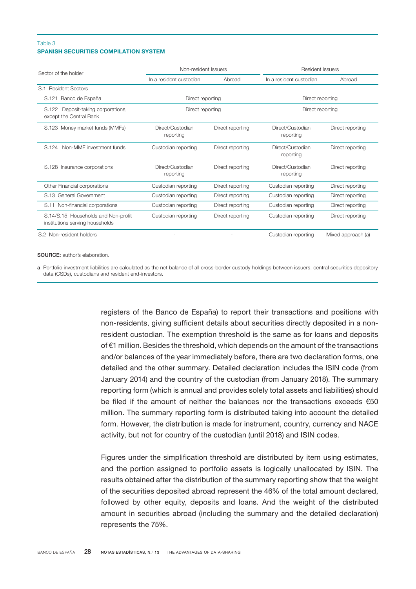#### SPANISH SECURITIES COMPILATION SYSTEM Table 3

| Sector of the holder                                                   | Non-resident Issuers                 |                  | Resident Issuers              |                    |  |
|------------------------------------------------------------------------|--------------------------------------|------------------|-------------------------------|--------------------|--|
|                                                                        | In a resident custodian              | Abroad           | In a resident custodian       | Abroad             |  |
| <b>Resident Sectors</b><br>S.1                                         |                                      |                  |                               |                    |  |
| Banco de España<br>S.121                                               | Direct reporting<br>Direct reporting |                  |                               |                    |  |
| Deposit-taking corporations,<br>S.122<br>except the Central Bank       | Direct reporting                     |                  | Direct reporting              |                    |  |
| S.123 Money market funds (MMFs)                                        | Direct/Custodian<br>reporting        | Direct reporting | Direct/Custodian<br>reporting | Direct reporting   |  |
| Non-MMF investment funds<br>S.124                                      | Custodian reporting                  | Direct reporting | Direct/Custodian<br>reporting | Direct reporting   |  |
| S.128 Insurance corporations                                           | Direct/Custodian<br>reporting        | Direct reporting | Direct/Custodian<br>reporting | Direct reporting   |  |
| Other Financial corporations                                           | Custodian reporting                  | Direct reporting | Custodian reporting           | Direct reporting   |  |
| S.13 General Government                                                | Custodian reporting                  | Direct reporting | Custodian reporting           | Direct reporting   |  |
| S.11 Non-financial corporations                                        | Custodian reporting                  | Direct reporting | Custodian reporting           | Direct reporting   |  |
| S.14/S.15 Households and Non-profit<br>institutions serving households | Custodian reporting                  | Direct reporting | Custodian reporting           | Direct reporting   |  |
| S.2 Non-resident holders                                               |                                      |                  | Custodian reporting           | Mixed approach (a) |  |

SOURCE: author's elaboration.

a Portfolio investment liabilities are calculated as the net balance of all cross-border custody holdings between issuers, central securities depository data (CSDs), custodians and resident end-investors.

> registers of the Banco de España) to report their transactions and positions with non-residents, giving sufficient details about securities directly deposited in a nonresident custodian. The exemption threshold is the same as for loans and deposits of €1 million. Besides the threshold, which depends on the amount of the transactions and/or balances of the year immediately before, there are two declaration forms, one detailed and the other summary. Detailed declaration includes the ISIN code (from January 2014) and the country of the custodian (from January 2018). The summary reporting form (which is annual and provides solely total assets and liabilities) should be filed if the amount of neither the balances nor the transactions exceeds €50 million. The summary reporting form is distributed taking into account the detailed form. However, the distribution is made for instrument, country, currency and NACE activity, but not for country of the custodian (until 2018) and ISIN codes.

> Figures under the simplification threshold are distributed by item using estimates, and the portion assigned to portfolio assets is logically unallocated by ISIN. The results obtained after the distribution of the summary reporting show that the weight of the securities deposited abroad represent the 46% of the total amount declared, followed by other equity, deposits and loans. And the weight of the distributed amount in securities abroad (including the summary and the detailed declaration) represents the 75%.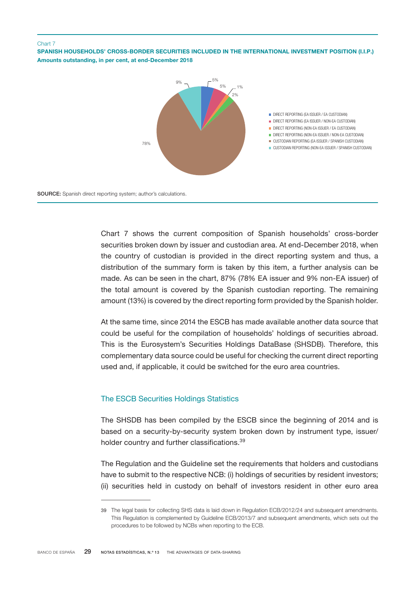#### <span id="page-28-0"></span>Chart 7

SPANISH HOUSEHOLDS' CROSS-BORDER SECURITIES INCLUDED IN THE INTERNATIONAL INVESTMENT POSITION (I.I.P.) Amounts outstanding, in per cent, at end-December 2018



Chart 7 shows the current composition of Spanish households' cross-border securities broken down by issuer and custodian area. At end-December 2018, when the country of custodian is provided in the direct reporting system and thus, a distribution of the summary form is taken by this item, a further analysis can be made. As can be seen in the chart, 87% (78% EA issuer and 9% non-EA issuer) of the total amount is covered by the Spanish custodian reporting. The remaining amount (13%) is covered by the direct reporting form provided by the Spanish holder.

At the same time, since 2014 the ESCB has made available another data source that could be useful for the compilation of households' holdings of securities abroad. This is the Eurosystem's Securities Holdings DataBase (SHSDB). Therefore, this complementary data source could be useful for checking the current direct reporting used and, if applicable, it could be switched for the euro area countries.

# The ESCB Securities Holdings Statistics

The SHSDB has been compiled by the ESCB since the beginning of 2014 and is based on a security-by-security system broken down by instrument type, issuer/ holder country and further classifications.<sup>39</sup>

The Regulation and the Guideline set the requirements that holders and custodians have to submit to the respective NCB: (i) holdings of securities by resident investors; (ii) securities held in custody on behalf of investors resident in other euro area

<sup>39</sup> The legal basis for collecting SHS data is laid down in Regulation ECB/2012/24 and subsequent amendments. This Regulation is complemented by Guideline ECB/2013/7 and subsequent amendments, which sets out the procedures to be followed by NCBs when reporting to the ECB.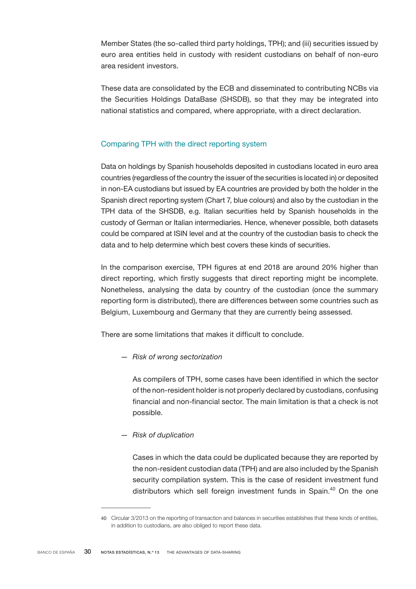<span id="page-29-0"></span>Member States (the so-called third party holdings, TPH); and (iii) securities issued by euro area entities held in custody with resident custodians on behalf of non-euro area resident investors.

These data are consolidated by the ECB and disseminated to contributing NCBs via the Securities Holdings DataBase (SHSDB), so that they may be integrated into national statistics and compared, where appropriate, with a direct declaration.

# Comparing TPH with the direct reporting system

Data on holdings by Spanish households deposited in custodians located in euro area countries (regardless of the country the issuer of the securities is located in) or deposited in non-EA custodians but issued by EA countries are provided by both the holder in the Spanish direct reporting system (Chart 7, blue colours) and also by the custodian in the TPH data of the SHSDB, e.g. Italian securities held by Spanish households in the custody of German or Italian intermediaries. Hence, whenever possible, both datasets could be compared at ISIN level and at the country of the custodian basis to check the data and to help determine which best covers these kinds of securities.

In the comparison exercise, TPH figures at end 2018 are around 20% higher than direct reporting, which firstly suggests that direct reporting might be incomplete. Nonetheless, analysing the data by country of the custodian (once the summary reporting form is distributed), there are differences between some countries such as Belgium, Luxembourg and Germany that they are currently being assessed.

There are some limitations that makes it difficult to conclude.

*— Risk of wrong sectorization*

As compilers of TPH, some cases have been identified in which the sector of the non-resident holder is not properly declared by custodians, confusing financial and non-financial sector. The main limitation is that a check is not possible.

*— Risk of duplication*

Cases in which the data could be duplicated because they are reported by the non-resident custodian data (TPH) and are also included by the Spanish security compilation system. This is the case of resident investment fund distributors which sell foreign investment funds in Spain.<sup>40</sup> On the one

<sup>40</sup> Circular 3/2013 on the reporting of transaction and balances in securities establishes that these kinds of entities, in addition to custodians, are also obliged to report these data.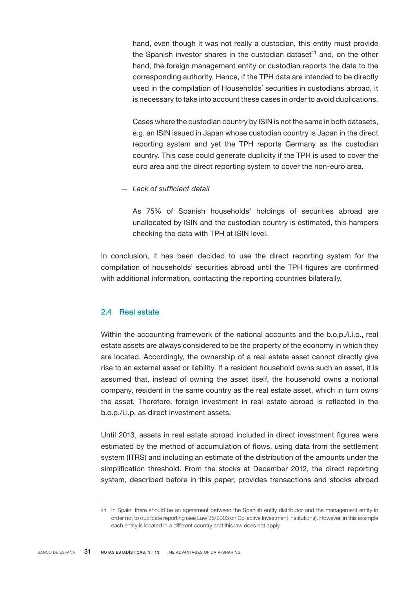<span id="page-30-0"></span>hand, even though it was not really a custodian, this entity must provide the Spanish investor shares in the custodian dataset $41$  and, on the other hand, the foreign management entity or custodian reports the data to the corresponding authority. Hence, if the TPH data are intended to be directly used in the compilation of Households´ securities in custodians abroad, it is necessary to take into account these cases in order to avoid duplications.

Cases where the custodian country by ISIN is not the same in both datasets, e.g. an ISIN issued in Japan whose custodian country is Japan in the direct reporting system and yet the TPH reports Germany as the custodian country. This case could generate duplicity if the TPH is used to cover the euro area and the direct reporting system to cover the non-euro area.

*— Lack of sufficient detail*

As 75% of Spanish households' holdings of securities abroad are unallocated by ISIN and the custodian country is estimated, this hampers checking the data with TPH at ISIN level.

In conclusion, it has been decided to use the direct reporting system for the compilation of households' securities abroad until the TPH figures are confirmed with additional information, contacting the reporting countries bilaterally.

# 2.4 Real estate

Within the accounting framework of the national accounts and the b.o.p./i.i.p., real estate assets are always considered to be the property of the economy in which they are located. Accordingly, the ownership of a real estate asset cannot directly give rise to an external asset or liability. If a resident household owns such an asset, it is assumed that, instead of owning the asset itself, the household owns a notional company, resident in the same country as the real estate asset, which in turn owns the asset. Therefore, foreign investment in real estate abroad is reflected in the b.o.p./i.i.p. as direct investment assets.

Until 2013, assets in real estate abroad included in direct investment figures were estimated by the method of accumulation of flows, using data from the settlement system (ITRS) and including an estimate of the distribution of the amounts under the simplification threshold. From the stocks at December 2012, the direct reporting system, described before in this paper, provides transactions and stocks abroad

<sup>41</sup> In Spain, there should be an agreement between the Spanish entity distributor and the management entity in order not to duplicate reporting (see Law 35/2003 on Collective Investment Institutions). However, in this example each entity is located in a different country and this law does not apply.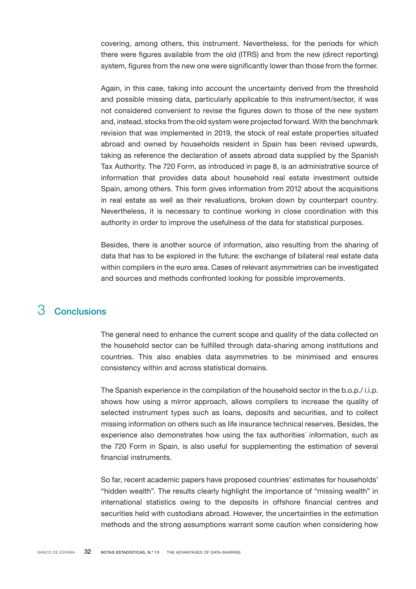<span id="page-31-0"></span>covering, among others, this instrument. Nevertheless, for the periods for which there were figures available from the old (ITRS) and from the new (direct reporting) system, figures from the new one were significantly lower than those from the former.

Again, in this case, taking into account the uncertainty derived from the threshold and possible missing data, particularly applicable to this instrument/sector, it was not considered convenient to revise the figures down to those of the new system and, instead, stocks from the old system were projected forward. With the benchmark revision that was implemented in 2019, the stock of real estate properties situated abroad and owned by households resident in Spain has been revised upwards, taking as reference the declaration of assets abroad data supplied by the Spanish Tax Authority. The 720 Form, as introduced in page 8, is an administrative source of information that provides data about household real estate investment outside Spain, among others. This form gives information from 2012 about the acquisitions in real estate as well as their revaluations, broken down by counterpart country. Nevertheless, it is necessary to continue working in close coordination with this authority in order to improve the usefulness of the data for statistical purposes.

Besides, there is another source of information, also resulting from the sharing of data that has to be explored in the future: the exchange of bilateral real estate data within compilers in the euro area. Cases of relevant asymmetries can be investigated and sources and methods confronted looking for possible improvements.

# 3 Conclusions

The general need to enhance the current scope and quality of the data collected on the household sector can be fulfilled through data-sharing among institutions and countries. This also enables data asymmetries to be minimised and ensures consistency within and across statistical domains.

The Spanish experience in the compilation of the household sector in the b.o.p./ i.i.p. shows how using a mirror approach, allows compilers to increase the quality of selected instrument types such as loans, deposits and securities, and to collect missing information on others such as life insurance technical reserves. Besides, the experience also demonstrates how using the tax authorities´ information, such as the 720 Form in Spain, is also useful for supplementing the estimation of several financial instruments.

So far, recent academic papers have proposed countries' estimates for households' "hidden wealth". The results clearly highlight the importance of "missing wealth" in international statistics owing to the deposits in offshore financial centres and securities held with custodians abroad. However, the uncertainties in the estimation methods and the strong assumptions warrant some caution when considering how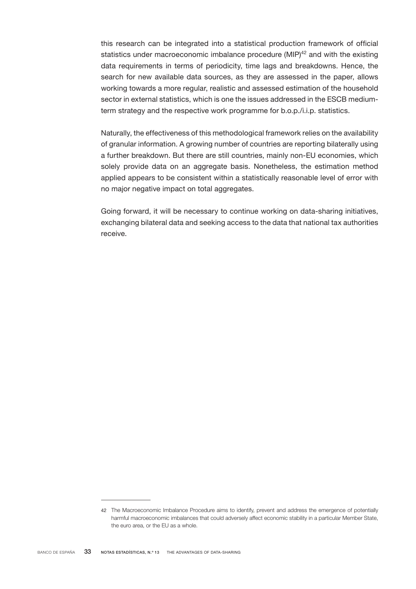this research can be integrated into a statistical production framework of official statistics under macroeconomic imbalance procedure  $(MIP)^{42}$  and with the existing data requirements in terms of periodicity, time lags and breakdowns. Hence, the search for new available data sources, as they are assessed in the paper, allows working towards a more regular, realistic and assessed estimation of the household sector in external statistics, which is one the issues addressed in the ESCB mediumterm strategy and the respective work programme for b.o.p./i.i.p. statistics.

Naturally, the effectiveness of this methodological framework relies on the availability of granular information. A growing number of countries are reporting bilaterally using a further breakdown. But there are still countries, mainly non-EU economies, which solely provide data on an aggregate basis. Nonetheless, the estimation method applied appears to be consistent within a statistically reasonable level of error with no major negative impact on total aggregates.

Going forward, it will be necessary to continue working on data-sharing initiatives, exchanging bilateral data and seeking access to the data that national tax authorities receive.

<sup>42</sup> The Macroeconomic Imbalance Procedure aims to identify, prevent and address the emergence of potentially harmful macroeconomic imbalances that could adversely affect economic stability in a particular Member State, the euro area, or the EU as a whole.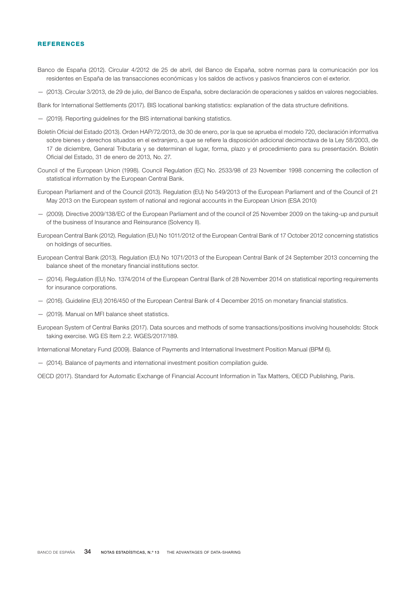#### <span id="page-33-0"></span>**REFERENCES**

- Banco de España (2012). Circular 4/2012 de 25 de abril, del Banco de España, sobre normas para la comunicación por los residentes en España de las transacciones económicas y los saldos de activos y pasivos financieros con el exterior.
- (2013). Circular 3/2013, de 29 de julio, del Banco de España, sobre declaración de operaciones y saldos en valores negociables.
- Bank for International Settlements (2017). BIS locational banking statistics: explanation of the data structure definitions.
- (2019). Reporting guidelines for the BIS international banking statistics.
- Boletín Oficial del Estado (2013). Orden HAP/72/2013, de 30 de enero, por la que se aprueba el modelo 720, declaración informativa sobre bienes y derechos situados en el extranjero, a que se refiere la disposición adicional decimoctava de la Ley 58/2003, de 17 de diciembre, General Tributaria y se determinan el lugar, forma, plazo y el procedimiento para su presentación. Boletín Oficial del Estado, 31 de enero de 2013, No. 27.
- Council of the European Union (1998). Council Regulation (EC) No. 2533/98 of 23 November 1998 concerning the collection of statistical information by the European Central Bank.
- European Parliament and of the Council (2013). Regulation (EU) No 549/2013 of the European Parliament and of the Council of 21 May 2013 on the European system of national and regional accounts in the European Union (ESA 2010)
- (2009). Directive 2009/138/EC of the European Parliament and of the council of 25 November 2009 on the taking-up and pursuit of the business of Insurance and Reinsurance (Solvency II).
- European Central Bank (2012). Regulation (EU) No 1011/2012 of the European Central Bank of 17 October 2012 concerning statistics on holdings of securities.
- European Central Bank (2013). Regulation (EU) No 1071/2013 of the European Central Bank of 24 September 2013 concerning the balance sheet of the monetary financial institutions sector.
- (2014). Regulation (EU) No. 1374/2014 of the European Central Bank of 28 November 2014 on statistical reporting requirements for insurance corporations.
- (2016). Guideline (EU) 2016/450 of the European Central Bank of 4 December 2015 on monetary financial statistics.
- (2019). Manual on MFI balance sheet statistics.
- European System of Central Banks (2017). Data sources and methods of some transactions/positions involving households: Stock taking exercise. WG ES Item 2.2. WGES/2017/189.

International Monetary Fund (2009). Balance of Payments and International Investment Position Manual (BPM 6).

— (2014). Balance of payments and international investment position compilation guide.

OECD (2017). Standard for Automatic Exchange of Financial Account Information in Tax Matters, OECD Publishing, Paris.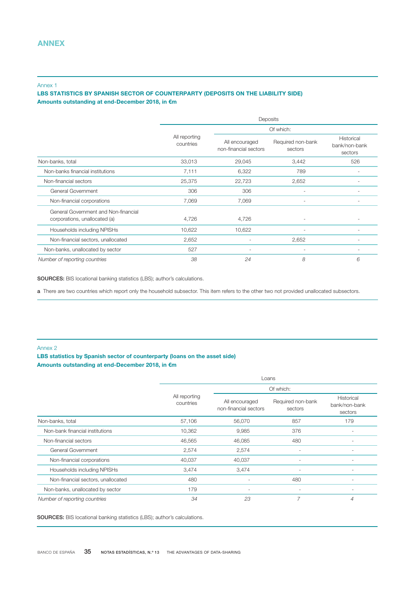#### <span id="page-34-0"></span>Annex 1

# LBS STATISTICS BY SPANISH SECTOR OF COUNTERPARTY (DEPOSITS ON THE LIABILITY SIDE) Amounts outstanding at end-December 2018, in €m

|                                                                       | Deposits                   |                                         |                              |                                        |
|-----------------------------------------------------------------------|----------------------------|-----------------------------------------|------------------------------|----------------------------------------|
|                                                                       |                            |                                         | Of which:                    |                                        |
|                                                                       | All reporting<br>countries | All encouraged<br>non-financial sectors | Required non-bank<br>sectors | Historical<br>bank/non-bank<br>sectors |
| Non-banks, total                                                      | 33,013                     | 29,045                                  | 3,442                        | 526                                    |
| Non-banks financial institutions                                      | 7,111                      | 6,322                                   | 789                          |                                        |
| Non-financial sectors                                                 | 25,375                     | 22,723                                  | 2,652                        |                                        |
| General Government                                                    | 306                        | 306                                     | $\overline{\phantom{a}}$     |                                        |
| Non-financial corporations                                            | 7,069                      | 7,069                                   |                              |                                        |
| General Government and Non-financial<br>corporations, unallocated (a) | 4,726                      | 4,726                                   |                              |                                        |
| Households including NPISHs                                           | 10,622                     | 10,622                                  |                              |                                        |
| Non-financial sectors, unallocated                                    | 2,652                      |                                         | 2,652                        |                                        |
| Non-banks, unallocated by sector                                      | 527                        |                                         |                              |                                        |
| Number of reporting countries                                         | 38                         | 24                                      | 8                            | 6                                      |

SOURCES: BIS locational banking statistics (LBS); author's calculations.

a There are two countries which report only the household subsector. This item refers to the other two not provided unallocated subsectors.

#### Annex 2

# LBS statistics by Spanish sector of counterparty (loans on the asset side) Amounts outstanding at end-December 2018, in €m

|                                    |                            | Loans                                   |                              |                                        |  |
|------------------------------------|----------------------------|-----------------------------------------|------------------------------|----------------------------------------|--|
|                                    |                            | Of which:                               |                              |                                        |  |
|                                    | All reporting<br>countries | All encouraged<br>non-financial sectors | Required non-bank<br>sectors | Historical<br>bank/non-bank<br>sectors |  |
| Non-banks, total                   | 57,106                     | 56,070                                  | 857                          | 179                                    |  |
| Non-bank financial institutions    | 10,362                     | 9,985                                   | 376                          |                                        |  |
| Non-financial sectors              | 46,565                     | 46,085                                  | 480                          | $\overline{\phantom{a}}$               |  |
| General Government                 | 2,574                      | 2,574                                   | $\overline{\phantom{0}}$     |                                        |  |
| Non-financial corporations         | 40,037                     | 40,037                                  |                              |                                        |  |
| Households including NPISHs        | 3,474                      | 3,474                                   | $\overline{a}$               |                                        |  |
| Non-financial sectors, unallocated | 480                        | $\overline{\phantom{a}}$                | 480                          |                                        |  |
| Non-banks, unallocated by sector   | 179                        | $\overline{\phantom{a}}$                |                              |                                        |  |
| Number of reporting countries      | 34                         | 23                                      | $\overline{7}$               | 4                                      |  |

SOURCES: BIS locational banking statistics (LBS); author's calculations.